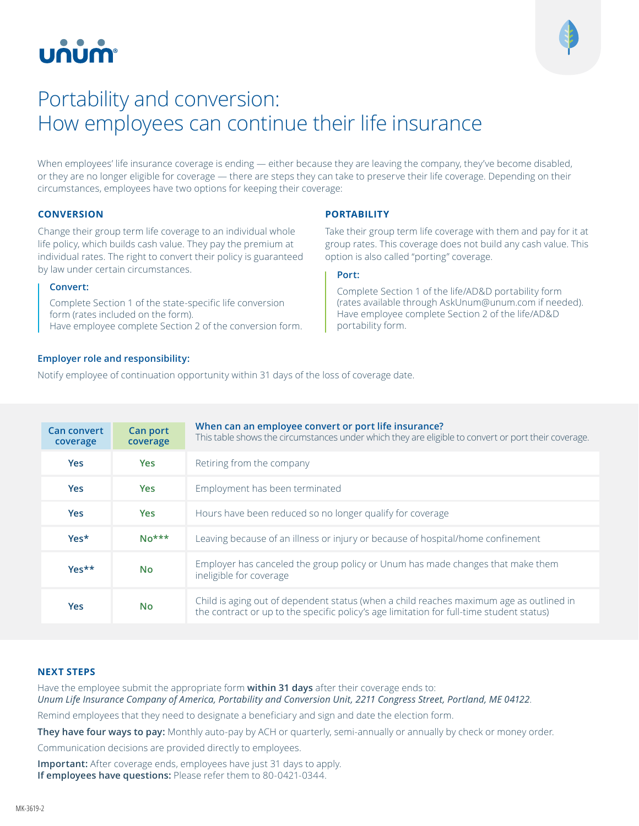# <u>unum</u>



# Portability and conversion: How employees can continue their life insurance

When employees' life insurance coverage is ending — either because they are leaving the company, they've become disabled, or they are no longer eligible for coverage — there are steps they can take to preserve their life coverage. Depending on their circumstances, employees have two options for keeping their coverage:

## **CONVERSION**

Change their group term life coverage to an individual whole life policy, which builds cash value. They pay the premium at individual rates. The right to convert their policy is guaranteed by law under certain circumstances.

#### **Convert:**

Complete Section 1 of the state-specific life conversion form (rates included on the form). Have employee complete Section 2 of the conversion form.

## **PORTABILITY**

Take their group term life coverage with them and pay for it at group rates. This coverage does not build any cash value. This option is also called "porting" coverage.

# **Port:**

Complete Section 1 of the life/AD&D portability form (rates available through AskUnum@unum.com if needed). Have employee complete Section 2 of the life/AD&D portability form.

#### **Employer role and responsibility:**

Notify employee of continuation opportunity within 31 days of the loss of coverage date.

| <b>Can convert</b><br>coverage | <b>Can port</b><br>coverage | When can an employee convert or port life insurance?<br>This table shows the circumstances under which they are eligible to convert or port their coverage.                         |
|--------------------------------|-----------------------------|-------------------------------------------------------------------------------------------------------------------------------------------------------------------------------------|
| <b>Yes</b>                     | <b>Yes</b>                  | Retiring from the company                                                                                                                                                           |
| <b>Yes</b>                     | <b>Yes</b>                  | Employment has been terminated                                                                                                                                                      |
| <b>Yes</b>                     | <b>Yes</b>                  | Hours have been reduced so no longer qualify for coverage                                                                                                                           |
| Yes*                           | $No***$                     | Leaving because of an illness or injury or because of hospital/home confinement                                                                                                     |
| $Yes**$                        | <b>No</b>                   | Employer has canceled the group policy or Unum has made changes that make them<br>ineligible for coverage                                                                           |
| <b>Yes</b>                     | <b>No</b>                   | Child is aging out of dependent status (when a child reaches maximum age as outlined in<br>the contract or up to the specific policy's age limitation for full-time student status) |

# **NEXT STEPS**

Have the employee submit the appropriate form **within 31 days** after their coverage ends to: *Unum Life Insurance Company of America, Portability and Conversion Unit, 2211 Congress Street, Portland, ME 04122*. Remind employees that they need to designate a beneficiary and sign and date the election form.

**They have four ways to pay:** Monthly auto-pay by ACH or quarterly, semi-annually or annually by check or money order.

Communication decisions are provided directly to employees.

**Important:** After coverage ends, employees have just 31 days to apply. **If employees have questions:** Please refer them to 80-0421-0344.